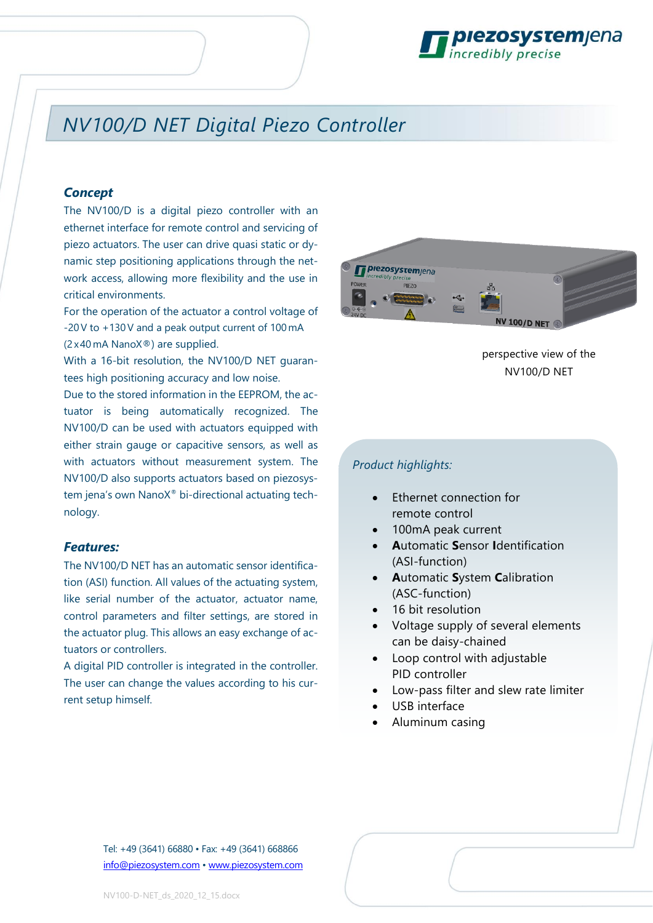

## *NV100/D NET Digital Piezo Controller*

#### *Concept*

The NV100/D is a digital piezo controller with an ethernet interface for remote control and servicing of piezo actuators. The user can drive quasi static or dynamic step positioning applications through the network access, allowing more flexibility and the use in critical environments.

For the operation of the actuator a control voltage of -20V to +130V and a peak output current of 100 mA (2 x40 mA NanoX®) are supplied.

With a 16-bit resolution, the NV100/D NET quarantees high positioning accuracy and low noise.

Due to the stored information in the EEPROM, the actuator is being automatically recognized. The NV100/D can be used with actuators equipped with either strain gauge or capacitive sensors, as well as with actuators without measurement system. The NV100/D also supports actuators based on piezosystem jena's own NanoX® bi-directional actuating technology.

#### *Features:*

The NV100/D NET has an automatic sensor identification (ASI) function. All values of the actuating system, like serial number of the actuator, actuator name, control parameters and filter settings, are stored in the actuator plug. This allows an easy exchange of actuators or controllers.

A digital PID controller is integrated in the controller. The user can change the values according to his current setup himself.



perspective view of the NV100/D NET

#### *Product highlights:*

- Ethernet connection for remote control
- 100mA peak current
- **A**utomatic **S**ensor **I**dentification (ASI-function)
- **A**utomatic **S**ystem **C**alibration (ASC-function)
- 16 bit resolution
- Voltage supply of several elements can be daisy-chained
- Loop control with adjustable PID controller
- Low-pass filter and slew rate limiter
- USB interface
- Aluminum casing

Tel: +49 (3641) 66880 • Fax: +49 (3641) 668866 [info@piezosystem.com](mailto:info@piezosystem.com) • [www.piezosystem.com](http://www.piezosystem.com/)